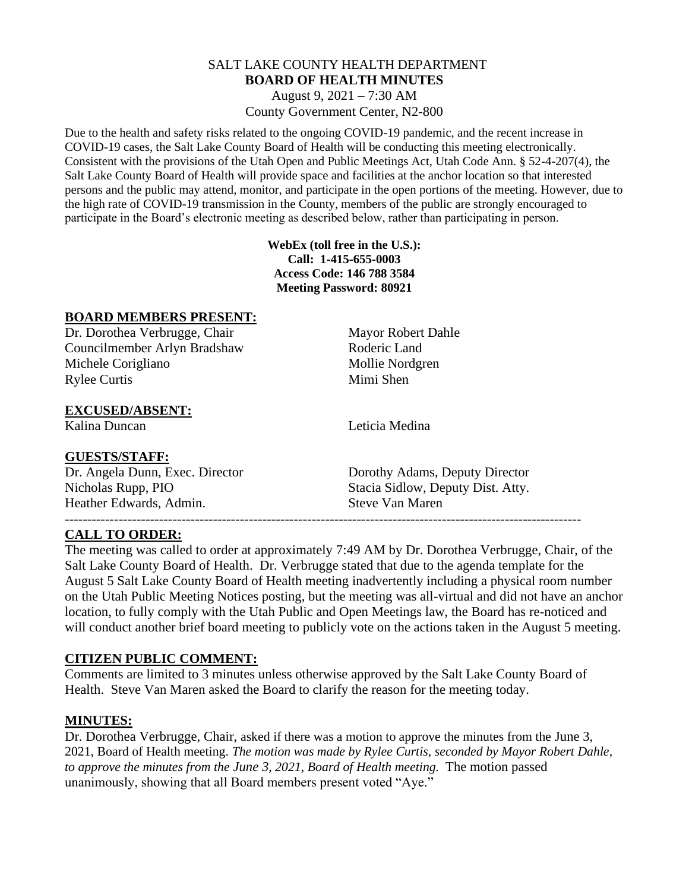# SALT LAKE COUNTY HEALTH DEPARTMENT **BOARD OF HEALTH MINUTES**

August 9, 2021 – 7:30 AM County Government Center, N2-800

Due to the health and safety risks related to the ongoing COVID-19 pandemic, and the recent increase in COVID-19 cases, the Salt Lake County Board of Health will be conducting this meeting electronically. Consistent with the provisions of the Utah Open and Public Meetings Act, Utah Code Ann. § 52-4-207(4), the Salt Lake County Board of Health will provide space and facilities at the anchor location so that interested persons and the public may attend, monitor, and participate in the open portions of the meeting. However, due to the high rate of COVID-19 transmission in the County, members of the public are strongly encouraged to participate in the Board's electronic meeting as described below, rather than participating in person.

> **WebEx (toll free in the U.S.): Call: 1-415-655-0003 Access Code: 146 788 3584 Meeting Password: 80921**

### **BOARD MEMBERS PRESENT:**

Dr. Dorothea Verbrugge, Chair Mayor Robert Dahle Councilmember Arlyn Bradshaw Roderic Land Michele Corigliano Mollie Nordgren Rylee Curtis Mimi Shen

# **EXCUSED/ABSENT:**

Kalina Duncan Leticia Medina

### **GUESTS/STAFF:**

Heather Edwards, Admin. Steve Van Maren

Dr. Angela Dunn, Exec. Director Dorothy Adams, Deputy Director Nicholas Rupp, PIO Stacia Sidlow, Deputy Dist. Atty.

### **CALL TO ORDER:**

The meeting was called to order at approximately 7:49 AM by Dr. Dorothea Verbrugge, Chair, of the Salt Lake County Board of Health. Dr. Verbrugge stated that due to the agenda template for the August 5 Salt Lake County Board of Health meeting inadvertently including a physical room number on the Utah Public Meeting Notices posting, but the meeting was all-virtual and did not have an anchor location, to fully comply with the Utah Public and Open Meetings law, the Board has re-noticed and will conduct another brief board meeting to publicly vote on the actions taken in the August 5 meeting.

-------------------------------------------------------------------------------------------------------------------

### **CITIZEN PUBLIC COMMENT:**

Comments are limited to 3 minutes unless otherwise approved by the Salt Lake County Board of Health. Steve Van Maren asked the Board to clarify the reason for the meeting today.

### **MINUTES:**

Dr. Dorothea Verbrugge, Chair, asked if there was a motion to approve the minutes from the June 3, 2021, Board of Health meeting. *The motion was made by Rylee Curtis, seconded by Mayor Robert Dahle, to approve the minutes from the June 3, 2021, Board of Health meeting.* The motion passed unanimously, showing that all Board members present voted "Aye."